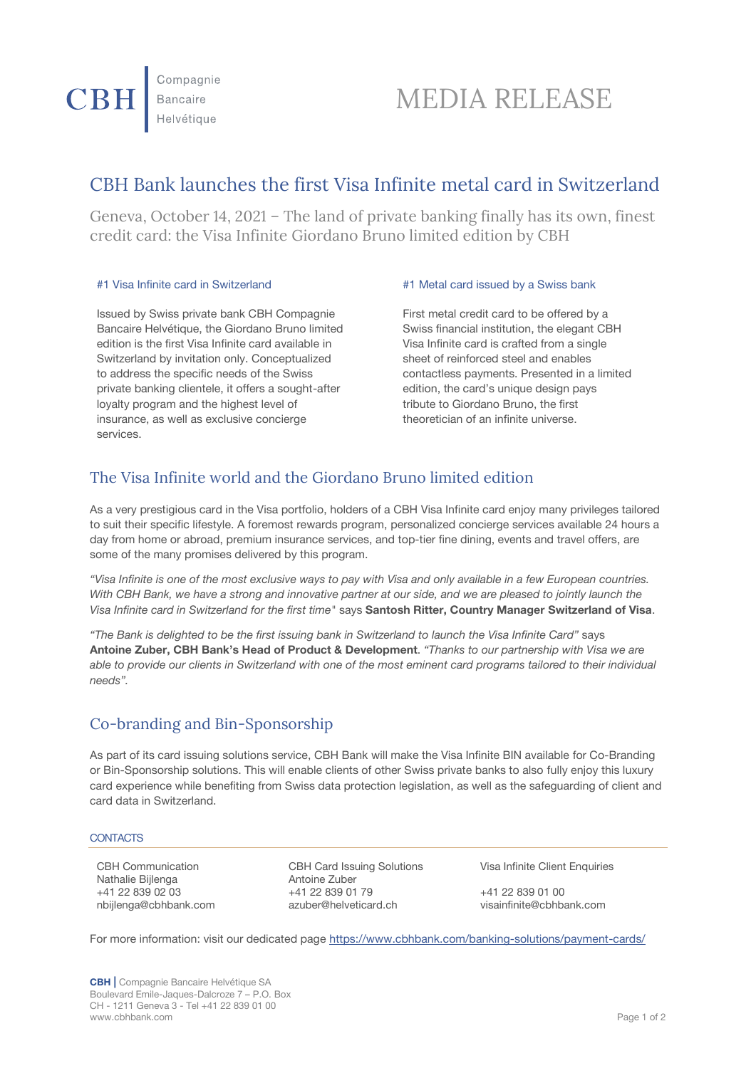# MEDIA RELEASE

# CBH Bank launches the first Visa Infinite metal card in Switzerland

Geneva, October 14, 2021 – The land of private banking finally has its own, finest credit card: the Visa Infinite Giordano Bruno limited edition by CBH

Issued by Swiss private bank CBH Compagnie Bancaire Helvétique, the Giordano Bruno limited edition is the first Visa Infinite card available in Switzerland by invitation only. Conceptualized to address the specific needs of the Swiss private banking clientele, it offers a sought-after loyalty program and the highest level of insurance, as well as exclusive concierge services.

## #1 Visa Infinite card in Switzerland #1 Metal card issued by a Swiss bank

First metal credit card to be offered by a Swiss financial institution, the elegant CBH Visa Infinite card is crafted from a single sheet of reinforced steel and enables contactless payments. Presented in a limited edition, the card's unique design pays tribute to Giordano Bruno, the first theoretician of an infinite universe.

# The Visa Infinite world and the Giordano Bruno limited edition

As a very prestigious card in the Visa portfolio, holders of a CBH Visa Infinite card enjoy many privileges tailored to suit their specific lifestyle. A foremost rewards program, personalized concierge services available 24 hours a day from home or abroad, premium insurance services, and top-tier fine dining, events and travel offers, are some of the many promises delivered by this program.

*"Visa Infinite is one of the most exclusive ways to pay with Visa and only available in a few European countries. With CBH Bank, we have a strong and innovative partner at our side, and we are pleased to jointly launch the Visa Infinite card in Switzerland for the first time"* says **Santosh Ritter, Country Manager Switzerland of Visa**.

*"The Bank is delighted to be the first issuing bank in Switzerland to launch the Visa Infinite Card"* says **Antoine Zuber, CBH Bank's Head of Product & Development**. *"Thanks to our partnership with Visa we are able to provide our clients in Switzerland with one of the most eminent card programs tailored to their individual needs".*

# Co-branding and Bin-Sponsorship

As part of its card issuing solutions service, CBH Bank will make the Visa Infinite BIN available for Co-Branding or Bin-Sponsorship solutions. This will enable clients of other Swiss private banks to also fully enjoy this luxury card experience while benefiting from Swiss data protection legislation, as well as the safeguarding of client and card data in Switzerland.

### **CONTACTS**

Nathalie Bijlenga [nbijlenga@cbhbank.com](mailto:nbijlenga@cbhbank.com)

CBH Communication CBH Card Issuing Solutions Visa Infinite Client Enquiries<br>
Nathalie Billenga Matoric Zuber +41 22 839 02 03 +41 22 839 01 79 +41 22 839 01 00

For more information: visit our dedicated page<https://www.cbhbank.com/banking-solutions/payment-cards/>